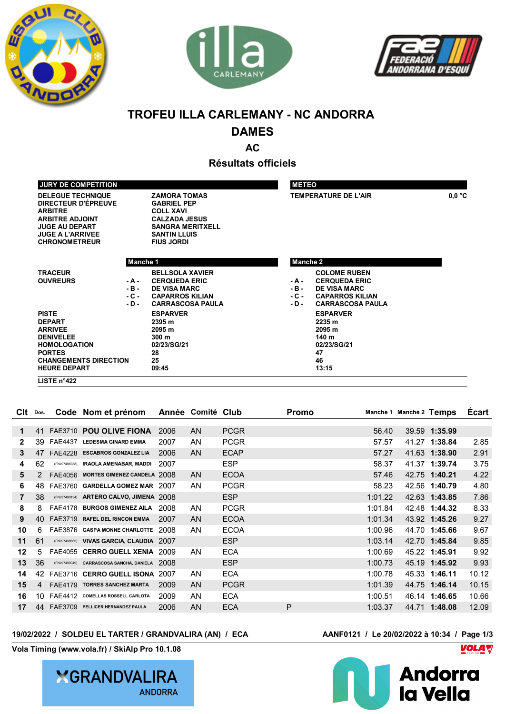





# **TROFEU ILLA CARLEMANY - NC ANDORRA**

## **DAMES**

**AC**

**Résultats officiels**

|                                                 |          |                                        |          |                             | 0.0 °C |  |
|-------------------------------------------------|----------|----------------------------------------|----------|-----------------------------|--------|--|
| <b>DELEGUE TECHNIQUE</b><br>DIRECTEUR D'ÉPREUVE |          | <b>ZAMORA TOMAS</b>                    |          | <b>TEMPERATURE DE L'AIR</b> |        |  |
| <b>ARBITRE</b>                                  |          | <b>GABRIEL PEP</b><br><b>COLL XAVI</b> |          |                             |        |  |
| <b>ARBITRE ADJOINT</b>                          |          | <b>CALZADA JESUS</b>                   |          |                             |        |  |
| <b>JUGE AU DEPART</b>                           |          | <b>SANGRA MERITXELL</b>                |          |                             |        |  |
| <b>JUGE A L'ARRIVEE</b>                         |          | <b>SANTIN LLUIS</b>                    |          |                             |        |  |
| <b>CHRONOMETREUR</b>                            |          | <b>FIUS JORDI</b>                      |          |                             |        |  |
|                                                 |          |                                        |          |                             |        |  |
|                                                 | Manche 1 |                                        | Manche 2 |                             |        |  |
|                                                 |          |                                        |          |                             |        |  |
| <b>TRACEUR</b>                                  |          | <b>BELLSOLA XAVIER</b>                 |          | <b>COLOME RUBEN</b>         |        |  |
| <b>OUVREURS</b>                                 | - A -    | <b>CERQUEDA ERIC</b>                   | - A -    | <b>CERQUEDA ERIC</b>        |        |  |
|                                                 | $-B -$   | <b>DE VISA MARC</b>                    | $-B -$   | <b>DE VISA MARC</b>         |        |  |
|                                                 | - C -    | <b>CAPARROS KILIAN</b>                 | $-C -$   | <b>CAPARROS KILIAN</b>      |        |  |
|                                                 | $-D -$   | <b>CARRASCOSA PAULA</b>                | $-D -$   | <b>CARRASCOSA PAULA</b>     |        |  |
| <b>PISTE</b>                                    |          | <b>ESPARVER</b>                        |          | <b>ESPARVER</b>             |        |  |
| <b>DEPART</b>                                   |          | 2395 m                                 |          | 2235 m                      |        |  |
| <b>ARRIVEE</b>                                  |          | 2095 m                                 |          | 2095 m                      |        |  |
| <b>DENIVELEE</b>                                |          | 300 m                                  |          | 140 m                       |        |  |
| <b>HOMOLOGATION</b>                             |          | 02/23/SG/21                            |          | 02/23/SG/21                 |        |  |
| <b>PORTES</b>                                   |          | 28                                     |          | 47                          |        |  |
| 25<br><b>CHANGEMENTS DIRECTION</b>              |          |                                        |          | 46                          |        |  |
| <b>HEURE DEPART</b>                             |          | 09:45                                  |          | 13:15                       |        |  |

| Clt | Dos. |                | Code Nom et prénom                |      | Année Comité Club |             | <b>Promo</b> |         | Manche 1 Manche 2 Temps |               | <b>Ecart</b> |
|-----|------|----------------|-----------------------------------|------|-------------------|-------------|--------------|---------|-------------------------|---------------|--------------|
| 1   | 41   |                | FAE3710 POU OLIVE FIONA           | 2006 | AN                | <b>PCGR</b> |              | 56.40   |                         | 39.59 1:35.99 |              |
| 2   |      |                | <b>LEDESMA GINARD EMMA</b>        |      | AN                |             |              |         |                         |               |              |
|     | 39   | <b>FAE4437</b> |                                   | 2007 |                   | <b>PCGR</b> |              | 57.57   |                         | 41.27 1:38.84 | 2.85         |
| 3   | 47   | <b>FAE4228</b> | <b>ESCABROS GONZALEZ LIA</b>      | 2006 | AN                | <b>ECAP</b> |              | 57.27   |                         | 41.63 1:38.90 | 2.91         |
| 4   | 62   | (FNL97498388)  | <b>IRAOLA AMENABAR, MADDI</b>     | 2007 |                   | <b>ESP</b>  |              | 58.37   |                         | 41.37 1:39.74 | 3.75         |
| 5   |      | FAE4056        | MORTES GIMENEZ CANDELA 2008       |      | AN                | <b>ECOA</b> |              | 57.46   |                         | 42.75 1:40.21 | 4.22         |
| 6   | 48   | FAE3760        | <b>GARDELLA GOMEZ MAR</b>         | 2007 | AN                | <b>PCGR</b> |              | 58.23   |                         | 42.56 1:40.79 | 4.80         |
| 7   | 38   | (FNL97499194)  | ARTERO CALVO, JIMENA 2008         |      |                   | <b>ESP</b>  |              | 1:01.22 |                         | 42.63 1:43.85 | 7.86         |
| 8   | 8    | <b>FAE4178</b> | <b>BURGOS GIMENEZ AILA</b>        | 2008 | AN.               | <b>PCGR</b> |              | 1:01.84 |                         | 42.48 1:44.32 | 8.33         |
| 9   | 40   | FAF3719        | <b>RAFEL DEL RINCON EMMA</b>      | 2007 | AN                | <b>ECOA</b> |              | 1:01.34 |                         | 43.92 1:45.26 | 9.27         |
| 10  | 6    | FAE3876        | <b>GASPA MONNE CHARLOTTE</b>      | 2008 | AN                | <b>ECOA</b> |              | 1:00.96 |                         | 44.70 1:45.66 | 9.67         |
| 11  | 61   | (FNL97498665)  | VIVAS GARCIA, CLAUDIA 2007        |      |                   | <b>ESP</b>  |              | 1:03.14 |                         | 42.70 1:45.84 | 9.85         |
| 12  | 5    | <b>FAE4055</b> | <b>CERRO GUELL XENIA</b>          | 2009 | AN.               | <b>ECA</b>  |              | 1:00.69 |                         | 45.22 1:45.91 | 9.92         |
| 13  | 36   | (FNL97499049)  | <b>CARRASCOSA SANCHA, DANIELA</b> | 2008 |                   | <b>ESP</b>  |              | 1:00.73 |                         | 45.19 1:45.92 | 9.93         |
| 14  | 42   |                | FAE3716 CERRO GUELL ISONA         | 2007 | AN.               | <b>ECA</b>  |              | 1:00.78 |                         | 45.33 1:46.11 | 10.12        |
| 15  | 4    | FAE4179        | <b>TORRES SANCHEZ MARTA</b>       | 2009 | AN                | <b>PCGR</b> |              | 1:01.39 |                         | 44.75 1:46.14 | 10.15        |
| 16  | 10   | FAE4412        | <b>COMELLAS ROSSELL CARLOTA</b>   | 2009 | AN.               | <b>ECA</b>  |              | 1:00.51 |                         | 46.14 1:46.65 | 10.66        |
| 17  | 44   | <b>FAE3709</b> | PELLICER HERNANDEZ PAULA          | 2006 | AN                | <b>ECA</b>  | P            | 1:03.37 |                         | 44.71 1:48.08 | 12.09        |

#### **19/02/2022 / SOLDEU EL TARTER / GRANDVALIRA (AN) / ECA AANF0121 / Le 20/02/2022 à 10:34 / Page 1/3**

**Vola Timing (www.vola.fr) / SkiAlp Pro 10.1.08**



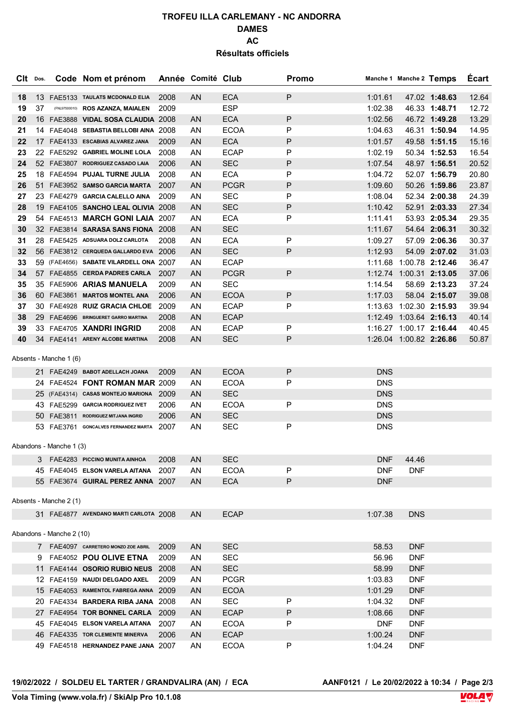## **TROFEU ILLA CARLEMANY - NC ANDORRA DAMES AC Résultats officiels**

| CIt Dos. |    |                          | Code Nom et prénom                      |      | Année Comité Club |             | Promo |            | Manche 1 Manche 2 Temps |               | <b>Ecart</b> |
|----------|----|--------------------------|-----------------------------------------|------|-------------------|-------------|-------|------------|-------------------------|---------------|--------------|
| 18       |    |                          | 13 FAE5133 TAULATS MCDONALD ELIA        | 2008 | <b>AN</b>         | <b>ECA</b>  | P     | 1:01.61    |                         | 47.02 1:48.63 | 12.64        |
| 19       | 37 |                          | (FNL97500010) ROS AZANZA, MAIALEN       | 2009 |                   | <b>ESP</b>  |       | 1:02.38    |                         | 46.33 1:48.71 | 12.72        |
| 20       |    |                          | 16 FAE3888 VIDAL SOSA CLAUDIA 2008      |      | <b>AN</b>         | <b>ECA</b>  | P     | 1:02.56    |                         | 46.72 1:49.28 | 13.29        |
| 21       |    |                          | 14 FAE4048 SEBASTIA BELLOBI AINA 2008   |      | AN                | <b>ECOA</b> | P     | 1:04.63    |                         | 46.31 1:50.94 | 14.95        |
| 22       |    |                          | 17 FAE4133 ESCABIAS ALVAREZ JANA        | 2009 | <b>AN</b>         | <b>ECA</b>  | P     | 1:01.57    |                         | 49.58 1:51.15 | 15.16        |
| 23       |    |                          | 22 FAE5292 GABRIEL MOLINE LOLA          | 2008 | AN                | <b>ECAP</b> | P     | 1:02.19    |                         | 50.34 1:52.53 | 16.54        |
| 24       |    |                          | 52 FAE3807 RODRIGUEZ CASADO LAIA        | 2006 | <b>AN</b>         | <b>SEC</b>  | P     | 1:07.54    |                         | 48.97 1:56.51 | 20.52        |
| 25       |    |                          | 18 FAE4594 PUJAL TURNE JULIA            | 2008 | AN                | <b>ECA</b>  | Ρ     | 1:04.72    |                         | 52.07 1:56.79 | 20.80        |
| 26       |    |                          | 51 FAE3952 SAMSO GARCIA MARTA           | 2007 | <b>AN</b>         | <b>PCGR</b> | P     | 1:09.60    |                         | 50.26 1:59.86 | 23.87        |
| 27       |    |                          | 23 FAE4279 GARCIA CALELLO AINA          | 2009 | AN                | <b>SEC</b>  | P     | 1:08.04    |                         | 52.34 2:00.38 | 24.39        |
| 28       |    |                          | 19 FAE4105 SANCHO LEAL OLIVIA 2008      |      | <b>AN</b>         | <b>SEC</b>  | P     | 1:10.42    |                         | 52.91 2:03.33 | 27.34        |
| 29       |    |                          | 54 FAE4513 MARCH GONI LAIA 2007         |      | AN                | <b>ECA</b>  | Ρ     | 1:11.41    |                         | 53.93 2:05.34 | 29.35        |
| 30       |    |                          | 32 FAE3814 SARASA SANS FIONA 2008       |      | <b>AN</b>         | <b>SEC</b>  |       | 1:11.67    |                         | 54.64 2:06.31 | 30.32        |
| 31       |    |                          | 28 FAE5425 ADSUARA DOLZ CARLOTA         | 2008 | ΑN                | <b>ECA</b>  | P     | 1:09.27    |                         | 57.09 2:06.36 | 30.37        |
| 32       |    |                          | 56 FAE3812 CERQUEDA GALLARDO EVA 2006   |      | AN                | <b>SEC</b>  | P     | 1:12.93    |                         | 54.09 2:07.02 | 31.03        |
| 33       |    |                          | 59 (FAE4656) SABATE VILARDELL ONA 2007  |      | ΑN                | <b>ECAP</b> |       |            | 1:11.68 1:00.78 2:12.46 |               | 36.47        |
| 34       |    |                          | 57 FAE4855 CERDA PADRES CARLA           | 2007 | <b>AN</b>         | <b>PCGR</b> | P     |            | 1:12.74 1:00.31 2:13.05 |               | 37.06        |
| 35       |    |                          | 35 FAE5906 ARIAS MANUELA                | 2009 | AN                | <b>SEC</b>  |       | 1:14.54    |                         | 58.69 2:13.23 | 37.24        |
| 36       |    |                          | 60 FAE3861 MARTOS MONTEL ANA            | 2006 | <b>AN</b>         | <b>ECOA</b> | P     | 1:17.03    |                         | 58.04 2:15.07 | 39.08        |
| 37       |    |                          | 30 FAE4928 RUIZ GRACIA CHLOE            | 2009 | AN                | <b>ECAP</b> | P     |            | 1:13.63 1:02.30 2:15.93 |               | 39.94        |
| 38       |    |                          | 29 FAE4696 BRINGUERET GARRO MARTINA     | 2008 | <b>AN</b>         | <b>ECAP</b> |       |            | 1:12.49 1:03.64 2:16.13 |               | 40.14        |
|          |    |                          | 33 FAE4705 XANDRI INGRID                | 2008 | AN                | <b>ECAP</b> | P     |            | 1:16.27 1:00.17 2:16.44 |               |              |
| 39<br>40 |    |                          |                                         | 2008 |                   | <b>SEC</b>  | P     |            | 1:26.04 1:00.82 2:26.86 |               | 40.45        |
|          |    |                          | 34 FAE4141 ARENY ALCOBE MARTINA         |      | AN                |             |       |            |                         |               | 50.87        |
|          |    | Absents - Manche 1 (6)   |                                         |      |                   |             |       |            |                         |               |              |
|          |    |                          | 21 FAE4249 BABOT ADELLACH JOANA         | 2009 | <b>AN</b>         | <b>ECOA</b> | P     | <b>DNS</b> |                         |               |              |
|          |    |                          | 24 FAE4524 <b>FONT ROMAN MAR</b> 2009   |      | AN                | <b>ECOA</b> | Ρ     | <b>DNS</b> |                         |               |              |
|          |    |                          | 25 (FAE4314) CASAS MONTEJO MARIONA 2009 |      | AN                | <b>SEC</b>  |       | <b>DNS</b> |                         |               |              |
|          |    |                          | 43 FAE5299 GARCIA RODRIGUEZ IVET        | 2006 | AN                | <b>ECOA</b> | Ρ     | <b>DNS</b> |                         |               |              |
|          |    |                          | 50 FAE3811 RODRIGUEZ MITJANA INGRID     | 2006 | <b>AN</b>         | <b>SEC</b>  |       | <b>DNS</b> |                         |               |              |
|          |    |                          | 53 FAE3761 GONCALVES FERNANDEZ MARTA    | 2007 | AN                | <b>SEC</b>  | P     | <b>DNS</b> |                         |               |              |
|          |    |                          |                                         |      |                   |             |       |            |                         |               |              |
|          |    | Abandons - Manche 1 (3)  |                                         |      |                   |             |       |            |                         |               |              |
|          |    |                          | 3 FAE4283 PICCINO MUNITA AINHOA         | 2008 | AN                | <b>SEC</b>  |       | <b>DNF</b> | 44.46                   |               |              |
|          |    |                          | 45 FAE4045 ELSON VARELA AITANA 2007     |      | ΑN                | <b>ECOA</b> | P     | <b>DNF</b> | <b>DNF</b>              |               |              |
|          |    |                          | 55 FAE3674 GUIRAL PEREZ ANNA 2007       |      | AN                | <b>ECA</b>  | P     | <b>DNF</b> |                         |               |              |
|          |    |                          |                                         |      |                   |             |       |            |                         |               |              |
|          |    | Absents - Manche 2 (1)   |                                         |      |                   |             |       |            |                         |               |              |
|          |    |                          | 31 FAE4877 AVENDANO MARTI CARLOTA 2008  |      | AN                | <b>ECAP</b> |       | 1:07.38    | <b>DNS</b>              |               |              |
|          |    |                          |                                         |      |                   |             |       |            |                         |               |              |
|          |    | Abandons - Manche 2 (10) |                                         |      |                   |             |       |            |                         |               |              |
|          |    |                          | 7 FAE4097 CARRETERO MONZO ZOE ABRIL     | 2009 | AN                | <b>SEC</b>  |       | 58.53      | <b>DNF</b>              |               |              |
|          |    |                          | 9 FAE4052 POU OLIVE ETNA                | 2009 | ΑN                | <b>SEC</b>  |       | 56.96      | <b>DNF</b>              |               |              |
|          |    |                          | 11 FAE4144 OSORIO RUBIO NEUS 2008       |      | AN                | <b>SEC</b>  |       | 58.99      | <b>DNF</b>              |               |              |
|          |    |                          | 12 FAE4159 NAUDI DELGADO AXEL           | 2009 | AN                | <b>PCGR</b> |       | 1:03.83    | <b>DNF</b>              |               |              |
|          |    |                          | 15 FAE4053 RAMENTOL FABREGA ANNA 2009   |      | AN                | <b>ECOA</b> |       | 1:01.29    | <b>DNF</b>              |               |              |
|          |    |                          | 20 FAE4334 BARDERA RIBA JANA 2008       |      | AN                | <b>SEC</b>  | P     | 1:04.32    | <b>DNF</b>              |               |              |
|          |    |                          | 27 FAE4954 TOR BONNEL CARLA 2009        |      | AN                | <b>ECAP</b> | P     | 1:08.66    | <b>DNF</b>              |               |              |
|          |    |                          | 45 FAE4045 ELSON VARELA AITANA 2007     |      | ΑN                | <b>ECOA</b> | P     | <b>DNF</b> | <b>DNF</b>              |               |              |
|          |    |                          | 46 FAE4335 TOR CLEMENTE MINERVA         | 2006 | AN                | <b>ECAP</b> |       | 1:00.24    | <b>DNF</b>              |               |              |
|          |    |                          | 49 FAE4518 HERNANDEZ PANE JANA 2007     |      | AN                | <b>ECOA</b> | P     | 1:04.24    | <b>DNF</b>              |               |              |
|          |    |                          |                                         |      |                   |             |       |            |                         |               |              |

**19/02/2022 / SOLDEU EL TARTER / GRANDVALIRA (AN) / ECA** 

**AANF0121** / Le 20/02/2022 à 10:34 / Page 2/3